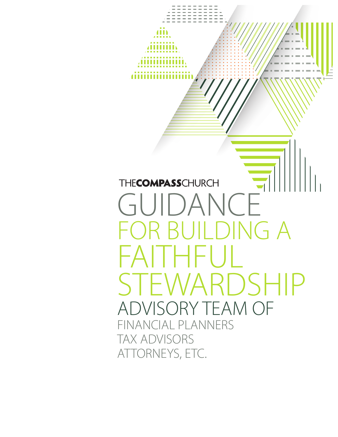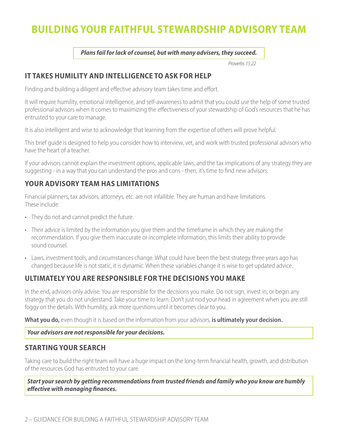# **BUILDING YOUR FAITHFUL STEWARDSHIP ADVISORY TEAM**

*Plans fail for lack of counsel, but with many advisers, they succeed.*

*Proverbs 15:22*

### **IT TAKES HUMILITY AND INTELLIGENCE TO ASK FOR HELP**

Finding and building a diligent and effective advisory team takes time and effort.

It will require humility, emotional intelligence, and self-awareness to admit that you could use the help of some trusted professional advisors when it comes to maximizing the effectiveness of your stewardship of God's resources that he has entrusted to your care to manage.

It is also intelligent and wise to acknowledge that learning from the expertise of others will prove helpful.

This brief guide is designed to help you consider how to interview, vet, and work with trusted professional advisors who have the heart of a teacher.

If your advisors cannot explain the investment options, applicable laws, and the tax implications of any strategy they are suggesting - in a way that you can understand the pros and cons - then, it's time to find new advisors.

## **YOUR ADVISORY TEAM HAS LIMITATIONS**

Financial planners, tax advisors, attorneys, etc. are not infallible. They are human and have limitations. These include:

- They do not and cannot predict the future.
- Their advice is limited by the information you give them and the timeframe in which they are making the recommendation. If you give them inaccurate or incomplete information, this limits their ability to provide sound counsel.
- Laws, investment tools, and circumstances change. What could have been the best strategy three years ago has changed because life is not static, it is dynamic. When these variables change it is wise to get updated advice.

# **ULTIMATELY YOU ARE RESPONSIBLE FOR THE DECISIONS YOU MAKE**

In the end, advisors only advise. You are responsible for the decisions you make. Do not sign, invest in, or begin any strategy that you do not understand. Take your time to learn. Don't just nod your head in agreement when you are still foggy on the details. With humility, ask more questions until it becomes clear to you.

**What you do,** even though it is based on the information from your advisors, **is ultimately your decision.**

*Your advisors are not responsible for your decisions.*

### **STARTING YOUR SEARCH**

Taking care to build the right team will have a huge impact on the long-term financial health, growth, and distribution of the resources God has entrusted to your care.

*Start your search by getting recommendations from trusted friends and family who you know are humbly effective with managing finances.*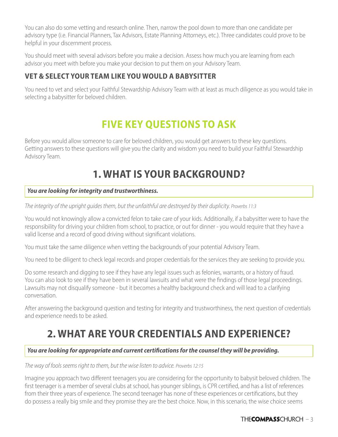You can also do some vetting and research online. Then, narrow the pool down to more than one candidate per advisory type (i.e. Financial Planners, Tax Advisors, Estate Planning Attorneys, etc.). Three candidates could prove to be helpful in your discernment process.

You should meet with several advisors before you make a decision. Assess how much you are learning from each advisor you meet with before you make your decision to put them on your Advisory Team.

# **VET & SELECT YOUR TEAM LIKE YOU WOULD A BABYSITTER**

You need to vet and select your Faithful Stewardship Advisory Team with at least as much diligence as you would take in selecting a babysitter for beloved children.

# **FIVE KEY QUESTIONS TO ASK**

Before you would allow someone to care for beloved children, you would get answers to these key questions. Getting answers to these questions will give you the clarity and wisdom you need to build your Faithful Stewardship Advisory Team.

# **1. WHAT IS YOUR BACKGROUND?**

#### *You are looking for integrity and trustworthiness.*

*The integrity of the upright guides them, but the unfaithful are destroyed by their duplicity. Proverbs 11:3* 

You would not knowingly allow a convicted felon to take care of your kids. Additionally, if a babysitter were to have the responsibility for driving your children from school, to practice, or out for dinner - you would require that they have a valid license and a record of good driving without significant violations.

You must take the same diligence when vetting the backgrounds of your potential Advisory Team.

You need to be diligent to check legal records and proper credentials for the services they are seeking to provide you.

Do some research and digging to see if they have any legal issues such as felonies, warrants, or a history of fraud. You can also look to see if they have been in several lawsuits and what were the findings of those legal proceedings. Lawsuits may not disqualify someone - but it becomes a healthy background check and will lead to a clarifying conversation.

After answering the background question and testing for integrity and trustworthiness, the next question of credentials and experience needs to be asked.

# **2. WHAT ARE YOUR CREDENTIALS AND EXPERIENCE?**

#### *You are looking for appropriate and current certifications for the counsel they will be providing.*

#### *The way of fools seems right to them, but the wise listen to advice. Proverbs 12:15*

Imagine you approach two different teenagers you are considering for the opportunity to babysit beloved children. The first teenager is a member of several clubs at school, has younger siblings, is CPR certified, and has a list of references from their three years of experience. The second teenager has none of these experiences or certifications, but they do possess a really big smile and they promise they are the best choice. Now, in this scenario, the wise choice seems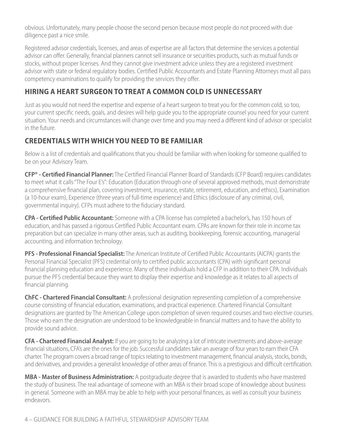obvious. Unfortunately, many people choose the second person because most people do not proceed with due diligence past a nice smile.

Registered advisor credentials, licenses, and areas of expertise are all factors that determine the services a potential advisor can offer. Generally, financial planners cannot sell insurance or securities products, such as mutual funds or stocks, without proper licenses. And they cannot give investment advice unless they are a registered investment advisor with state or federal regulatory bodies. Certified Public Accountants and Estate Planning Attorneys must all pass competency examinations to qualify for providing the services they offer.

# **HIRING A HEART SURGEON TO TREAT A COMMON COLD IS UNNECESSARY**

Just as you would not need the expertise and expense of a heart surgeon to treat you for the common cold, so too, your current specific needs, goals, and desires will help guide you to the appropriate counsel you need for your current situation. Your needs and circumstances will change over time and you may need a different kind of advisor or specialist in the future.

## **CREDENTIALS WITH WHICH YOU NEED TO BE FAMILIAR**

Below is a list of credentials and qualifications that you should be familiar with when looking for someone qualified to be on your Advisory Team.

**CFP® - Certified Financial Planner:** The Certified Financial Planner Board of Standards (CFP Board) requires candidates to meet what it calls "The Four E's": Education (Education through one of several approved methods, must demonstrate a comprehensive financial plan, covering investment, insurance, estate, retirement, education, and ethics), Examination (a 10-hour exam), Experience (three years of full-time experience) and Ethics (disclosure of any criminal, civil, governmental inquiry). CFPs must adhere to the fiduciary standard.

**CPA - Certified Public Accountant:** Someone with a CPA license has completed a bachelor's, has 150 hours of education, and has passed a rigorous Certified Public Accountant exam. CPAs are known for their role in income tax preparation but can specialize in many other areas, such as auditing, bookkeeping, forensic accounting, managerial accounting, and information technology.

**PFS - Professional Financial Specialist:** The American Institute of Certified Public Accountants (AICPA) grants the Personal Financial Specialist (PFS) credential only to certified public accountants (CPA) with significant personal financial planning education and experience. Many of these individuals hold a CFP in addition to their CPA. Individuals pursue the PFS credential because they want to display their expertise and knowledge as it relates to all aspects of financial planning.

**ChFC - Chartered Financial Consultant:** A professional designation representing completion of a comprehensive course consisting of financial education, examinations, and practical experience. Chartered Financial Consultant designations are granted by The American College upon completion of seven required courses and two elective courses. Those who earn the designation are understood to be knowledgeable in financial matters and to have the ability to provide sound advice.

**CFA - Chartered Financial Analyst:** If you are going to be analyzing a lot of intricate investments and above-average financial situations, CFA's are the ones for the job. Successful candidates take an average of four years to earn their CFA charter. The program covers a broad range of topics relating to investment management, financial analysis, stocks, bonds, and derivatives, and provides a generalist knowledge of other areas of finance. This is a prestigious and difficult certification.

**MBA - Master of Business Administration:** A postgraduate degree that is awarded to students who have mastered the study of business. The real advantage of someone with an MBA is their broad scope of knowledge about business in general. Someone with an MBA may be able to help with your personal finances, as well as consult your business endeavors.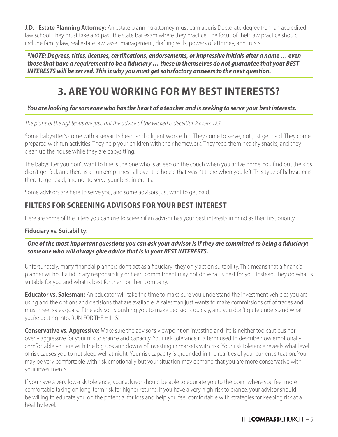**J.D. - Estate Planning Attorney:** An estate planning attorney must earn a Juris Doctorate degree from an accredited law school. They must take and pass the state bar exam where they practice. The focus of their law practice should include family law, real estate law, asset management, drafting wills, powers of attorney, and trusts.

*\*NOTE: Degrees, titles, licenses, certifications, endorsements, or impressive initials after a name … even those that have a requirement to be a fiduciary … these in themselves do not guarantee that your BEST INTERESTS will be served. This is why you must get satisfactory answers to the next question.*

# **3. ARE YOU WORKING FOR MY BEST INTERESTS?**

#### *You are looking for someone who has the heart of a teacher and is seeking to serve your best interests.*

*The plans of the righteous are just, but the advice of the wicked is deceitful. Proverbs 12:5*

Some babysitter's come with a servant's heart and diligent work ethic. They come to serve, not just get paid. They come prepared with fun activities. They help your children with their homework. They feed them healthy snacks, and they clean up the house while they are babysitting.

The babysitter you don't want to hire is the one who is asleep on the couch when you arrive home. You find out the kids didn't get fed, and there is an unkempt mess all over the house that wasn't there when you left. This type of babysitter is there to get paid, and not to serve your best interests.

Some advisors are here to serve you, and some advisors just want to get paid.

## **FILTERS FOR SCREENING ADVISORS FOR YOUR BEST INTEREST**

Here are some of the filters you can use to screen if an advisor has your best interests in mind as their first priority.

#### **Fiduciary vs. Suitability:**

*One of the most important questions you can ask your advisor is if they are committed to being a fiduciary: someone who will always give advice that is in your BEST INTERESTS.*

Unfortunately, many financial planners don't act as a fiduciary; they only act on suitability. This means that a financial planner without a fiduciary responsibility or heart commitment may not do what is best for you. Instead, they do what is suitable for you and what is best for them or their company.

**Educator vs. Salesman:** An educator will take the time to make sure you understand the investment vehicles you are using and the options and decisions that are available. A salesman just wants to make commissions off of trades and must meet sales goals. If the advisor is pushing you to make decisions quickly, and you don't quite understand what you're getting into, RUN FOR THE HILLS!

**Conservative vs. Aggressive:** Make sure the advisor's viewpoint on investing and life is neither too cautious nor overly aggressive for your risk tolerance and capacity. Your risk tolerance is a term used to describe how emotionally comfortable you are with the big ups and downs of investing in markets with risk. Your risk tolerance reveals what level of risk causes you to not sleep well at night. Your risk capacity is grounded in the realities of your current situation. You may be very comfortable with risk emotionally but your situation may demand that you are more conservative with your investments.

If you have a very low-risk tolerance, your advisor should be able to educate you to the point where you feel more comfortable taking on long-term risk for higher returns. If you have a very high-risk tolerance, your advisor should be willing to educate you on the potential for loss and help you feel comfortable with strategies for keeping risk at a healthy level.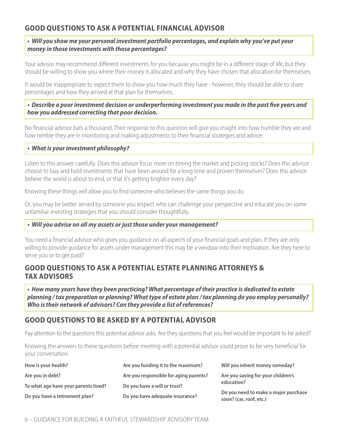## **GOOD QUESTIONS TO ASK A POTENTIAL FINANCIAL ADVISOR**

#### *• Will you show me your personal investment portfolio percentages, and explain why you've put your money in those investments with those percentages?*

Your advisor may recommend different investments for you because you might be in a different stage of life, but they should be willing to show you where their money is allocated and why they have chosen that allocation for themselves.

It would be inappropriate to expect them to show you how much they have - however, they should be able to share percentages and how they arrived at that plan for themselves.

#### *• Describe a poor investment decision or underperforming investment you made in the past five years and how you addressed correcting that poor decision.*

No financial advisor bats a thousand. Their response to this question will give you insight into how humble they are and how nimble they are in monitoring and making adjustments to their financial strategies and advice.

#### *• What is your investment philosophy?*

Listen to this answer carefully. Does this advisor focus more on timing the market and picking stocks? Does this advisor choose to buy and hold investments that have been around for a long time and proven themselves? Does this advisor believe the world is about to end, or that it's getting brighter every day?

Knowing these things will allow you to find someone who believes the same things you do.

Or, you may be better served by someone you respect who can challenge your perspective and educate you on some unfamiliar investing strategies that you should consider thoughtfully.

#### *• Will you advise on all my assets or just those under your management?*

You need a financial advisor who gives you guidance on all aspects of your financial goals and plan. If they are only willing to provide guidance for assets under management this may be a window into their motivation. Are they here to serve you or to get paid?

### **GOOD QUESTIONS TO ASK A POTENTIAL ESTATE PLANNING ATTORNEYS & TAX ADVISORS**

*• How many years have they been practicing? What percentage of their practice is dedicated to estate planning / tax preparation or planning? What type of estate plan / tax planning do you employ personally? Who is their network of advisors? Can they provide a list of references?*

### **GOOD QUESTIONS TO BE ASKED BY A POTENTIAL ADVISOR**

Pay attention to the questions this potential advisor asks. Are they questions that you feel would be important to be asked?

Knowing the answers to these questions before meeting with a potential advisor could prove to be very beneficial for your conversation.

| How is your health?                  | Are you funding it to the maximum?     | Will you inherit money someday?                                 |  |
|--------------------------------------|----------------------------------------|-----------------------------------------------------------------|--|
| Are you in debt?                     | Are you responsible for aging parents? | Are you saving for your children's                              |  |
| To what age have your parents lived? | Do you have a will or trust?           | education?                                                      |  |
| Do you have a retirement plan?       | Do you have adequate insurance?        | Do you need to make a major purchase<br>soon? (car, roof, etc.) |  |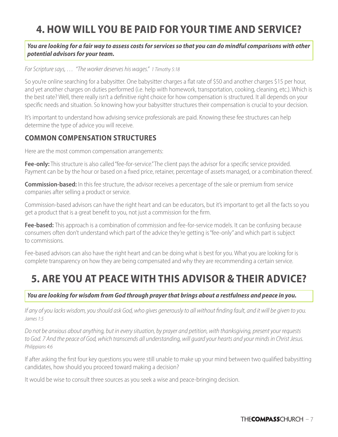# **4. HOW WILL YOU BE PAID FOR YOUR TIME AND SERVICE?**

#### *You are looking for a fair way to assess costs for services so that you can do mindful comparisons with other potential advisors for your team.*

#### *For Scripture says, … "The worker deserves his wages." 1 Timothy 5:18*

So you're online searching for a babysitter. One babysitter charges a flat rate of \$50 and another charges \$15 per hour, and yet another charges on duties performed (i.e. help with homework, transportation, cooking, cleaning, etc.). Which is the best rate? Well, there really isn't a definitive right choice for how compensation is structured. It all depends on your specific needs and situation. So knowing how your babysitter structures their compensation is crucial to your decision.

It's important to understand how advising service professionals are paid. Knowing these fee structures can help determine the type of advice you will receive.

#### **COMMON COMPENSATION STRUCTURES**

Here are the most common compensation arrangements:

Fee-only: This structure is also called "fee-for-service." The client pays the advisor for a specific service provided. Payment can be by the hour or based on a fixed price, retainer, percentage of assets managed, or a combination thereof.

**Commission-based:** In this fee structure, the advisor receives a percentage of the sale or premium from service companies after selling a product or service.

Commission-based advisors can have the right heart and can be educators, but it's important to get all the facts so you get a product that is a great benefit to you, not just a commission for the firm.

**Fee-based:** This approach is a combination of commission and fee-for-service models. It can be confusing because consumers often don't understand which part of the advice they're getting is "fee-only" and which part is subject to commissions.

Fee-based advisors can also have the right heart and can be doing what is best for you. What you are looking for is complete transparency on how they are being compensated and why they are recommending a certain service.

# **5. ARE YOU AT PEACE WITH THIS ADVISOR & THEIR ADVICE?**

*You are looking for wisdom from God through prayer that brings about a restfulness and peace in you.*

*If any of you lacks wisdom, you should ask God, who gives generously to all without finding fault, and it will be given to you. James 1:5*

*Do not be anxious about anything, but in every situation, by prayer and petition, with thanksgiving, present your requests to God. 7 And the peace of God, which transcends all understanding, will guard your hearts and your minds in Christ Jesus. Philippians 4:6*

If after asking the first four key questions you were still unable to make up your mind between two qualified babysitting candidates, how should you proceed toward making a decision?

It would be wise to consult three sources as you seek a wise and peace-bringing decision.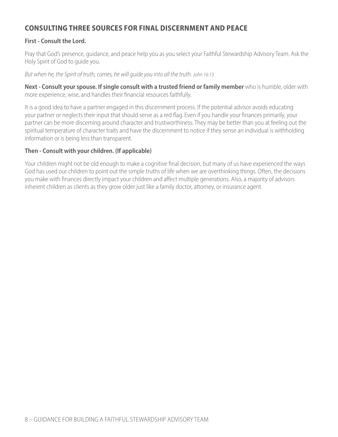## **CONSULTING THREE SOURCES FOR FINAL DISCERNMENT AND PEACE**

#### **First - Consult the Lord.**

Pray that God's presence, guidance, and peace help you as you select your Faithful Stewardship Advisory Team. Ask the Holy Spirit of God to guide you.

*But when he, the Spirit of truth, comes, he will guide you into all the truth. John 16:13*

**Next - Consult your spouse. If single consult with a trusted friend or family member** who is humble, older with more experience, wise, and handles their financial resources faithfully.

It is a good idea to have a partner engaged in this discernment process. If the potential advisor avoids educating your partner or neglects their input that should serve as a red flag. Even if you handle your finances primarily, your partner can be more discerning around character and trustworthiness. They may be better than you at feeling out the spiritual temperature of character traits and have the discernment to notice if they sense an individual is withholding information or is being less than transparent.

#### **Then - Consult with your children. (If applicable)**

Your children might not be old enough to make a cognitive final decision, but many of us have experienced the ways God has used our children to point out the simple truths of life when we are overthinking things. Often, the decisions you make with finances directly impact your children and affect multiple generations. Also, a majority of advisors inherent children as clients as they grow older just like a family doctor, attorney, or insurance agent.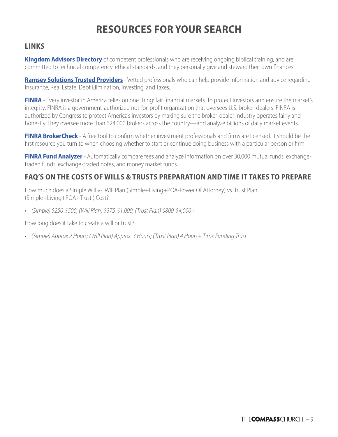# **RESOURCES FOR YOUR SEARCH**

### **LINKS**

**[Kingdom Advisors Directory](https://kingdomadvisors.com/find-a-professional/directory-search)** of competent professionals who are receiving ongoing biblical training, and are committed to technical competency, ethical standards, and they personally give and steward their own finances.

**[Ramsey Solutions Trusted Provi](https://www.ramseysolutions.com/trusted?snid=trusted-pros)ders** - Vetted professionals who can help provide information and advice regarding Insurance, Real Estate, Debt Elimination, Investing, and Taxes.

**[FINRA](https://www.finra.org/about)** - Every investor in America relies on one thing: fair financial markets. To protect investors and ensure the market's integrity, FINRA is a government-authorized not-for-profit organization that oversees U.S. broker-dealers. FINRA is authorized by Congress to protect America's investors by making sure the broker-dealer industry operates fairly and honestly. They oversee more than 624,000 brokers across the country—and analyze billions of daily market events.

**[FINRA BrokerCheck](https://brokercheck.finra.org)** - A free tool to confirm whether investment professionals and firms are licensed. It should be the first resource you turn to when choosing whether to start or continue doing business with a particular person or firm.

**[FINRA Fund Analyzer](https://tools.finra.org/fund_analyzer/)** - Automatically compare fees and analyze information on over 30,000 mutual funds, exchangetraded funds, exchange-traded notes, and money market funds.

## **FAQ'S ON THE COSTS OF WILLS & TRUSTS PREPARATION AND TIME IT TAKES TO PREPARE**

How much does a Simple Will vs. Will Plan (Simple+Living+POA-Power Of Attorney) vs. Trust Plan (Simple+Living+POA+Trust ) Cost?

• *(Simple) \$250-\$500; (Will Plan) \$375-\$1,000; (Trust Plan) \$800-\$4,000+*

How long does it take to create a will or trust?

• *(Simple) Approx 2 Hours; (Will Plan) Approx. 3 Hours; (Trust Plan) 4 Hours+ Time Funding Trust*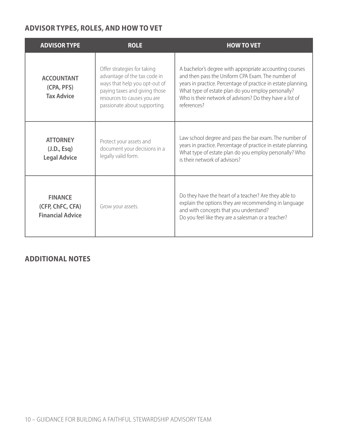## **ADVISOR TYPES, ROLES, AND HOW TO VET**

| <b>ADVISOR TYPE</b>                                           | <b>ROLE</b>                                                                                                                                                                                  | <b>HOW TO VET</b>                                                                                                                                                                                                                                                                                              |
|---------------------------------------------------------------|----------------------------------------------------------------------------------------------------------------------------------------------------------------------------------------------|----------------------------------------------------------------------------------------------------------------------------------------------------------------------------------------------------------------------------------------------------------------------------------------------------------------|
| <b>ACCOUNTANT</b><br>(CPA, PFS)<br><b>Tax Advice</b>          | Offer strategies for taking<br>advantage of the tax code in<br>ways that help you opt-out of<br>paying taxes and giving those<br>resources to causes you are<br>passionate about supporting. | A bachelor's degree with appropriate accounting courses<br>and then pass the Uniform CPA Exam. The number of<br>years in practice. Percentage of practice in estate planning.<br>What type of estate plan do you employ personally?<br>Who is their network of advisors? Do they have a list of<br>references? |
| <b>ATTORNEY</b><br>(J.D., Esq)<br><b>Legal Advice</b>         | Protect your assets and<br>document your decisions in a<br>legally valid form.                                                                                                               | Law school degree and pass the bar exam. The number of<br>years in practice. Percentage of practice in estate planning.<br>What type of estate plan do you employ personally? Who<br>is their network of advisors?                                                                                             |
| <b>FINANCE</b><br>(CFP, ChFC, CFA)<br><b>Financial Advice</b> | Grow your assets.                                                                                                                                                                            | Do they have the heart of a teacher? Are they able to<br>explain the options they are recommending in language<br>and with concepts that you understand?<br>Do you feel like they are a salesman or a teacher?                                                                                                 |

## **ADDITIONAL NOTES**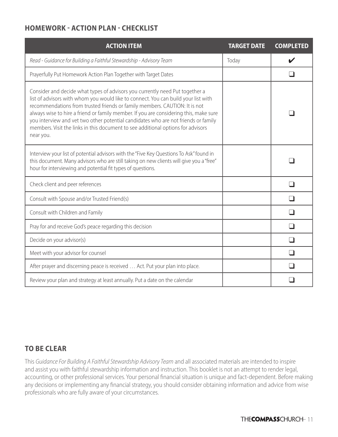## **HOMEWORK - ACTION PLAN - CHECKLIST**

| <b>ACTION ITEM</b>                                                                                                                                                                                                                                                                                                                                                                                                                                                                                                               | <b>TARGET DATE</b> | <b>COMPLETED</b> |
|----------------------------------------------------------------------------------------------------------------------------------------------------------------------------------------------------------------------------------------------------------------------------------------------------------------------------------------------------------------------------------------------------------------------------------------------------------------------------------------------------------------------------------|--------------------|------------------|
| Read - Guidance for Building a Faithful Stewardship - Advisory Team                                                                                                                                                                                                                                                                                                                                                                                                                                                              | Today              |                  |
| Prayerfully Put Homework Action Plan Together with Target Dates                                                                                                                                                                                                                                                                                                                                                                                                                                                                  |                    |                  |
| Consider and decide what types of advisors you currently need Put together a<br>list of advisors with whom you would like to connect. You can build your list with<br>recommendations from trusted friends or family members. CAUTION: It is not<br>always wise to hire a friend or family member. If you are considering this, make sure<br>you interview and vet two other potential candidates who are not friends or family<br>members. Visit the links in this document to see additional options for advisors<br>near you. |                    |                  |
| Interview your list of potential advisors with the "Five Key Questions To Ask" found in<br>this document. Many advisors who are still taking on new clients will give you a "free"<br>hour for interviewing and potential fit types of questions.                                                                                                                                                                                                                                                                                |                    |                  |
| Check client and peer references                                                                                                                                                                                                                                                                                                                                                                                                                                                                                                 |                    |                  |
| Consult with Spouse and/or Trusted Friend(s)                                                                                                                                                                                                                                                                                                                                                                                                                                                                                     |                    |                  |
| Consult with Children and Family                                                                                                                                                                                                                                                                                                                                                                                                                                                                                                 |                    | l.               |
| Pray for and receive God's peace regarding this decision                                                                                                                                                                                                                                                                                                                                                                                                                                                                         |                    |                  |
| Decide on your advisor(s)                                                                                                                                                                                                                                                                                                                                                                                                                                                                                                        |                    |                  |
| Meet with your advisor for counsel                                                                                                                                                                                                                                                                                                                                                                                                                                                                                               |                    |                  |
| After prayer and discerning peace is received  Act. Put your plan into place.                                                                                                                                                                                                                                                                                                                                                                                                                                                    |                    |                  |
| Review your plan and strategy at least annually. Put a date on the calendar                                                                                                                                                                                                                                                                                                                                                                                                                                                      |                    |                  |

### **TO BE CLEAR**

This *Guidance For Building A Faithful Stewardship Advisory Team* and all associated materials are intended to inspire and assist you with faithful stewardship information and instruction. This booklet is not an attempt to render legal, accounting, or other professional services. Your personal financial situation is unique and fact-dependent. Before making any decisions or implementing any financial strategy, you should consider obtaining information and advice from wise professionals who are fully aware of your circumstances.